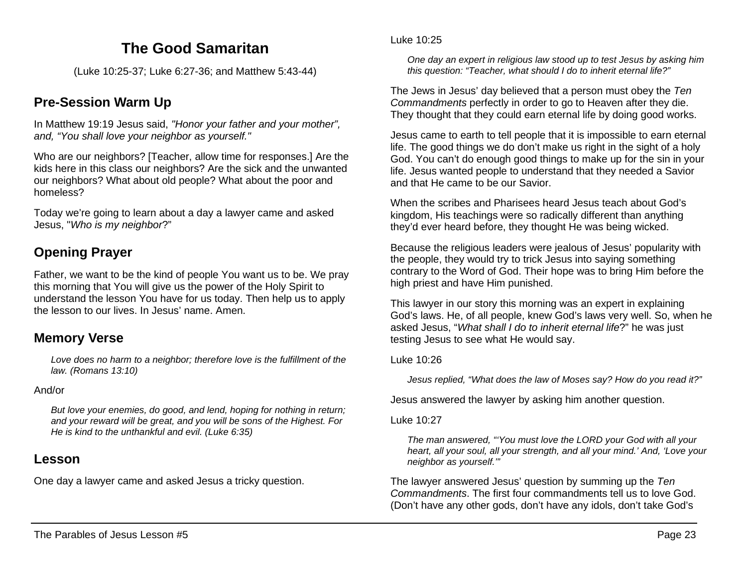# **The Good Samaritan**

(Luke 10:25-37; Luke 6:27-36; and Matthew 5:43-44)

# **Pre-Session Warm Up**

In Matthew 19:19 Jesus said, *"Honor your father and your mother", and, "You shall love your neighbor as yourself."*

Who are our neighbors? [Teacher, allow time for responses.] Are the kids here in this class our neighbors? Are the sick and the unwanted our neighbors? What about old people? What about the poor and homeless?

Today we're going to learn about a day a lawyer came and asked Jesus, "*Who is my neighbor*?"

# **Opening Prayer**

Father, we want to be the kind of people You want us to be. We pray this morning that You will give us the power of the Holy Spirit to understand the lesson You have for us today. Then help us to apply the lesson to our lives. In Jesus' name. Amen.

## **Memory Verse**

*Love does no harm to a neighbor; therefore love is the fulfillment of the law. (Romans 13:10)*

#### And/or

*But love your enemies, do good, and lend, hoping for nothing in return; and your reward will be great, and you will be sons of the Highest. For He is kind to the unthankful and evil. (Luke 6:35)*

## **Lesson**

One day a lawyer came and asked Jesus a tricky question.

#### Luke 10:25

*One day an expert in religious law stood up to test Jesus by asking him this question: "Teacher, what should I do to inherit eternal life?"*

The Jews in Jesus' day believed that a person must obey the *Ten Commandments* perfectly in order to go to Heaven after they die. They thought that they could earn eternal life by doing good works.

Jesus came to earth to tell people that it is impossible to earn eternal life. The good things we do don't make us right in the sight of a holy God. You can't do enough good things to make up for the sin in your life. Jesus wanted people to understand that they needed a Savior and that He came to be our Savior.

When the scribes and Pharisees heard Jesus teach about God's kingdom, His teachings were so radically different than anything they'd ever heard before, they thought He was being wicked.

Because the religious leaders were jealous of Jesus' popularity with the people, they would try to trick Jesus into saying something contrary to the Word of God. Their hope was to bring Him before the high priest and have Him punished.

This lawyer in our story this morning was an expert in explaining God's laws. He, of all people, knew God's laws very well. So, when he asked Jesus, "*What shall I do to inherit eternal life*?" he was just testing Jesus to see what He would say.

### Luke 10:26

*Jesus replied, "What does the law of Moses say? How do you read it?"*

Jesus answered the lawyer by asking him another question.

### Luke 10:27

*The man answered, "'You must love the LORD your God with all your heart, all your soul, all your strength, and all your mind.' And, 'Love your neighbor as yourself.'"*

The lawyer answered Jesus' question by summing up the *Ten Commandments*. The first four commandments tell us to love God. (Don't have any other gods, don't have any idols, don't take God's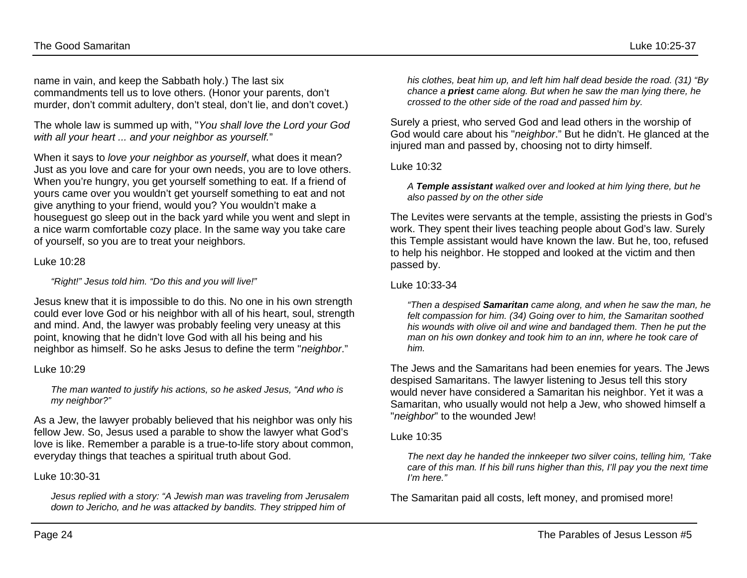name in vain, and keep the Sabbath holy.) The last six commandments tell us to love others. (Honor your parents, don't murder, don't commit adultery, don't steal, don't lie, and don't covet.)

The whole law is summed up with, "*You shall love the Lord your God with all your heart ... and your neighbor as yourself.*"

When it says to *love your neighbor as yourself*, what does it mean? Just as you love and care for your own needs, you are to love others. When you're hungry, you get yourself something to eat. If a friend of yours came over you wouldn't get yourself something to eat and not give anything to your friend, would you? You wouldn't make a houseguest go sleep out in the back yard while you went and slept in a nice warm comfortable cozy place. In the same way you take care of yourself, so you are to treat your neighbors.

#### Luke 10:28

*"Right!" Jesus told him. "Do this and you will live!"*

Jesus knew that it is impossible to do this. No one in his own strength could ever love God or his neighbor with all of his heart, soul, strength and mind. And, the lawyer was probably feeling very uneasy at this point, knowing that he didn't love God with all his being and his neighbor as himself. So he asks Jesus to define the term "*neighbor*."

#### Luke 10:29

*The man wanted to justify his actions, so he asked Jesus, "And who is my neighbor?"*

As a Jew, the lawyer probably believed that his neighbor was only his fellow Jew. So, Jesus used a parable to show the lawyer what God's love is like. Remember a parable is a true-to-life story about common, everyday things that teaches a spiritual truth about God.

Luke 10:30-31

*Jesus replied with a story: "A Jewish man was traveling from Jerusalem down to Jericho, and he was attacked by bandits. They stripped him of* 

*his clothes, beat him up, and left him half dead beside the road. (31) "By chance a priest came along. But when he saw the man lying there, he crossed to the other side of the road and passed him by.*

Surely a priest, who served God and lead others in the worship of God would care about his "*neighbor*." But he didn't. He glanced at the injured man and passed by, choosing not to dirty himself.

#### Luke 10:32

*A Temple assistant walked over and looked at him lying there, but he also passed by on the other side*

The Levites were servants at the temple, assisting the priests in God's work. They spent their lives teaching people about God's law. Surely this Temple assistant would have known the law. But he, too, refused to help his neighbor. He stopped and looked at the victim and then passed by.

#### Luke 10:33-34

*"Then a despised Samaritan came along, and when he saw the man, he felt compassion for him. (34) Going over to him, the Samaritan soothed his wounds with olive oil and wine and bandaged them. Then he put the man on his own donkey and took him to an inn, where he took care of him.*

The Jews and the Samaritans had been enemies for years. The Jews despised Samaritans. The lawyer listening to Jesus tell this story would never have considered a Samaritan his neighbor. Yet it was a Samaritan, who usually would not help a Jew, who showed himself a "*neighbor*" to the wounded Jew!

#### Luke 10:35

*The next day he handed the innkeeper two silver coins, telling him, 'Take care of this man. If his bill runs higher than this, I'll pay you the next time I'm here."*

The Samaritan paid all costs, left money, and promised more!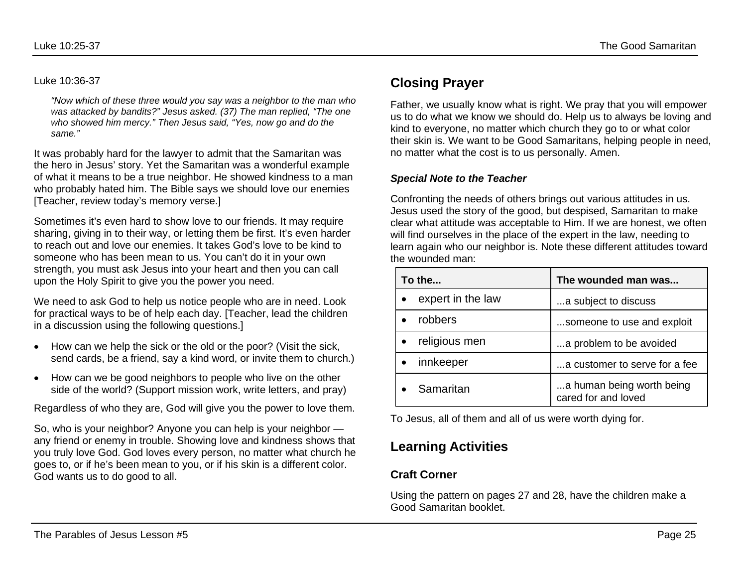#### Luke 10:36-37

*"Now which of these three would you say was a neighbor to the man who was attacked by bandits?" Jesus asked. (37) The man replied, "The one who showed him mercy." Then Jesus said, "Yes, now go and do the same."*

It was probably hard for the lawyer to admit that the Samaritan was the hero in Jesus' story. Yet the Samaritan was a wonderful example of what it means to be a true neighbor. He showed kindness to a man who probably hated him. The Bible says we should love our enemies [Teacher, review today's memory verse.]

Sometimes it's even hard to show love to our friends. It may require sharing, giving in to their way, or letting them be first. It's even harder to reach out and love our enemies. It takes God's love to be kind to someone who has been mean to us. You can't do it in your own strength, you must ask Jesus into your heart and then you can call upon the Holy Spirit to give you the power you need.

We need to ask God to help us notice people who are in need. Look for practical ways to be of help each day. [Teacher, lead the children in a discussion using the following questions.]

- How can we help the sick or the old or the poor? (Visit the sick, send cards, be a friend, say a kind word, or invite them to church.)
- How can we be good neighbors to people who live on the other side of the world? (Support mission work, write letters, and pray)

Regardless of who they are, God will give you the power to love them.

So, who is your neighbor? Anyone you can help is your neighbor any friend or enemy in trouble. Showing love and kindness shows that you truly love God. God loves every person, no matter what church he goes to, or if he's been mean to you, or if his skin is a different color. God wants us to do good to all.

# **Closing Prayer**

Father, we usually know what is right. We pray that you will empower us to do what we know we should do. Help us to always be loving and kind to everyone, no matter which church they go to or what color their skin is. We want to be Good Samaritans, helping people in need, no matter what the cost is to us personally. Amen.

#### *Special Note to the Teacher*

Confronting the needs of others brings out various attitudes in us. Jesus used the story of the good, but despised, Samaritan to make clear what attitude was acceptable to Him. If we are honest, we often will find ourselves in the place of the expert in the law, needing to learn again who our neighbor is. Note these different attitudes toward the wounded man:

| To the            | The wounded man was                              |
|-------------------|--------------------------------------------------|
| expert in the law | a subject to discuss                             |
| robbers           | someone to use and exploit                       |
| religious men     | a problem to be avoided                          |
| innkeeper         | a customer to serve for a fee                    |
| Samaritan         | a human being worth being<br>cared for and loved |

To Jesus, all of them and all of us were worth dying for.

# **Learning Activities**

## **Craft Corner**

Using the pattern on pages 27 and 28, have the children make a Good Samaritan booklet.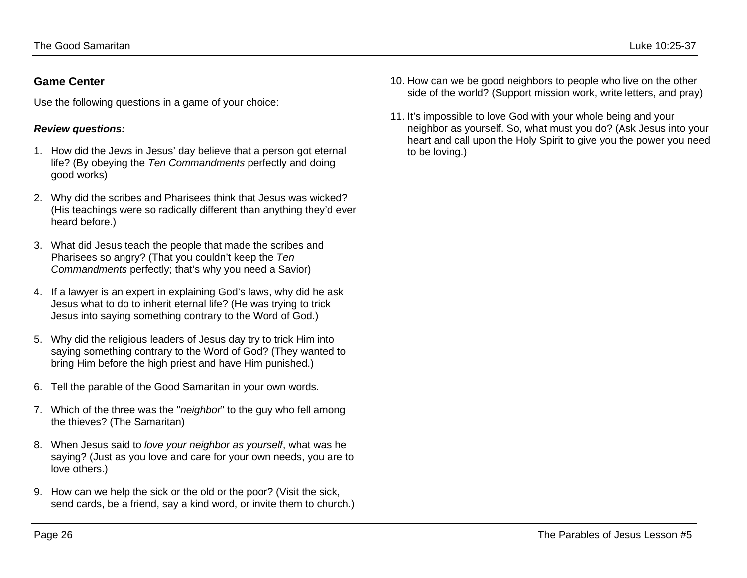## **Game Center**

Use the following questions in a game of your choice:

## *Review questions:*

- 1. How did the Jews in Jesus' day believe that a person got eternal life? (By obeying the *Ten Commandments* perfectly and doing good works)
- 2. Why did the scribes and Pharisees think that Jesus was wicked? (His teachings were so radically different than anything they'd ever heard before.)
- 3. What did Jesus teach the people that made the scribes and Pharisees so angry? (That you couldn't keep the *Ten Commandments* perfectly; that's why you need a Savior)
- 4. If a lawyer is an expert in explaining God's laws, why did he ask Jesus what to do to inherit eternal life? (He was trying to trick Jesus into saying something contrary to the Word of God.)
- 5. Why did the religious leaders of Jesus day try to trick Him into saying something contrary to the Word of God? (They wanted to bring Him before the high priest and have Him punished.)
- 6. Tell the parable of the Good Samaritan in your own words.
- 7. Which of the three was the "*neighbor*" to the guy who fell among the thieves? (The Samaritan)
- 8. When Jesus said to *love your neighbor as yourself*, what was he saying? (Just as you love and care for your own needs, you are to love others.)
- 9. How can we help the sick or the old or the poor? (Visit the sick, send cards, be a friend, say a kind word, or invite them to church.)
- 10. How can we be good neighbors to people who live on the other side of the world? (Support mission work, write letters, and pray)
- 11. It's impossible to love God with your whole being and your neighbor as yourself. So, what must you do? (Ask Jesus into your heart and call upon the Holy Spirit to give you the power you need to be loving.)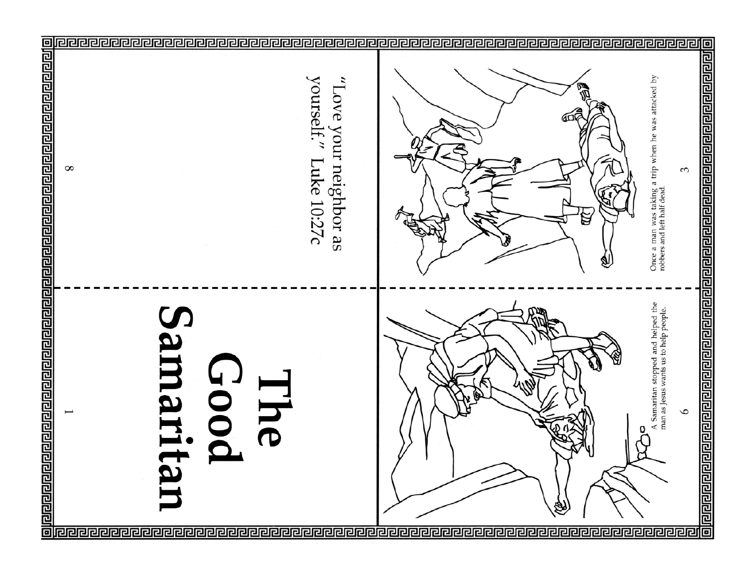